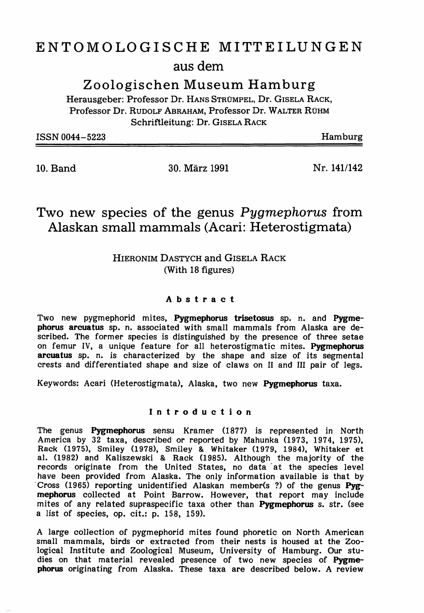## ENTOMOLOGISCHE MITTEILUNGEN aus dem

Zoologischen Museum Hamburg

Herausgeber: Professor Dr. HANS STRUMPEL, Dr. GISELA RACK, Professor Dr. RUDOLF ABRAHAM, Professor Dr. WALTER RUHM Schriftleitung: Dr. GISELA RACK

| ISSN 0044-5223 | Hamburg |
|----------------|---------|
|                |         |

10. Band 30. Marz 1991

Nr.141/142

### Two new species of the genus Pygmephorus from Alaskan small mammals (Acari: Heterostigmata)

### HIERONIM DASTYCH and GISELA RACK (With 18 figures)

#### Abstract

Two new pygmephorid mites, Pygmephorus trisetosus sp. n. and Pygmephorus arcuatus sp. n. associated with small mammals from Alaska are described. The former species is distinguished by the presence of three setae on femur IV, a unique feature for all heterostigmatic mites. Pygmephorus arcuatus sp. n. is characterized by the shape and size of its segmental crests and differentiated shape and size of claws on <sup>11</sup> and III pair of legs.

Keywords: Acari (Heterostigmata), Alaska, two new Pygmephorus taxa.

#### Introduction

The genus Pygmephorus sensu Kramer (1877) is represented in North America by 32 taxa, described or reported by Mahunka (1973, 1974, 1975), Rack (1975), Smiley (1978), Smiley & Whitaker (1979, 1984), Whitaker et al. (1982) and Kaliszewski & Rack (1985). Although the majority of the records originate from the United States, no data' at the species level have been provided from Alaska. The only information available is that by Cross (1965) reporting unidentified Alaskan member(s ?) of the genus Pygmephorus collected at Point Barrow. However, that report may include mites of any related supraspecific taxa other than Pygmephorus s. str. (see a list of species, op. cit.: p. 158, 159).

A large collection of pygmephorid mites found phoretic on North American small mammals, birds or extracted from their nests is housed at the Zoological Institute and Zoological Museum, University of Hamburg. Our studies on that material revealed presence of two new species of Pygmephorus originating from Alaska. These taxa are described below. A review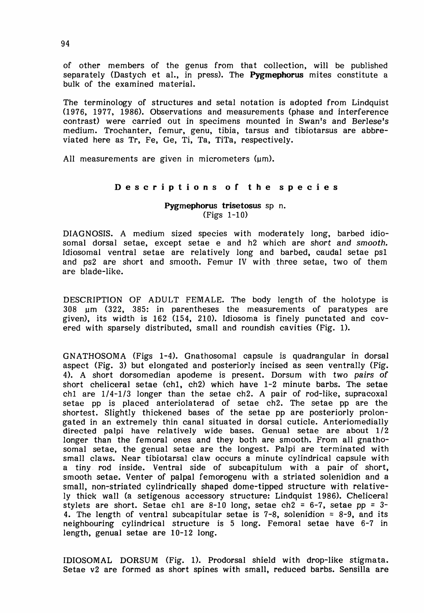of other members of the genus from that collection, will be published separately (Dastych et al., in press). The **Pygmephorus** mites constitute a bulk of the examined material.

The terminology of structures and setal notation is adopted from Lindquist (1976, 1977, 1986). Observations and measurements (phase and interference contrast) were carried out in specimens mounted in Swan's and Berlese's medium. Trochanter, femur, genu, tibia, tarsus and tibiotarsus are abbreviated here as Tr, Fe, Ge, Ti, Ta, TiTa, respectively.

All measurements are given in micrometers  $(\mu m)$ .

#### Descriptions of the species

Pygmephorus trisetosus sp n. (Figs 1-10)

DIAGNOSIS. A medium sized species with moderately long, barbed idiosomal dorsal setae, except setae e and h2 which are short and smooth. Idiosomal ventral setae are relatively long and barbed, caudal setae psI and ps2 are short and smooth. Femur IV with three setae, two of them are blade-like.

DESCRIPTION OF ADULT FEMALE. The body length of the holotype is 308 urn (322, 385: in parentheses the measurements of paratypes are given), its width is 162 (154, 210). Idiosoma is finely punctated and covered with sparsely distributed, small and roundish cavities (Fig. 1).

GNATHOSOMA (Figs 1-4). Gnathosomal capsule is quadrangular in dorsal aspect (Fig. 3) but elongated and posteriorly incised as seen ventrally (Fig. 4). A short dorsomedian apodeme is present. Dorsum with two pairs of short cheliceral setae (chI, ch2) which have 1-2 minute barbs. The setae ch1 are  $1/4$ -1/3 longer than the setae ch2. A pair of rod-like, supracoxal setae pp is placed anteriolaterad of setae ch2. The setae pp are the shortest. Slightly thickened bases of the setae pp are posteriorly prolongated in an extremely thin canal situated in dorsal cuticle. Anteriomedially directed palpi have relatively wide bases. Genual setae are about 1/2 longer than the femoral ones and they both are smooth. From all gnathosomal setae, the genual setae are the longest. Palpi are terminated with small claws. Near tibiotarsal claw occurs a minute cylindrical capsule with a tiny rod inside. Ventral side of subcapitulum with a pair of short, smooth setae. Venter of palpal femorogenu with a striated solenidion and a small, non-striated cylindrically shaped dome-tipped structure with relatively thick wall (a setigenous accessory structure: Lindquist 1986). Cheliceral stylets are short. Setae ch1 are 8-10 long, setae ch2 = 6-7, setae pp =  $3-$ 4. The length of ventral subcapitular setae is  $7-8$ , solenidion =  $8-9$ , and its neighbouring cylindrical structure is 5 long. Femoral setae have 6-7 in length, genual setae are 10-12 long.

IDIOSOMAL DORSUM (Fig. 1). Prodorsal shield with drop-like stigmata. Setae v2 are formed as short spines with small, reduced barbs. Sensilla are

94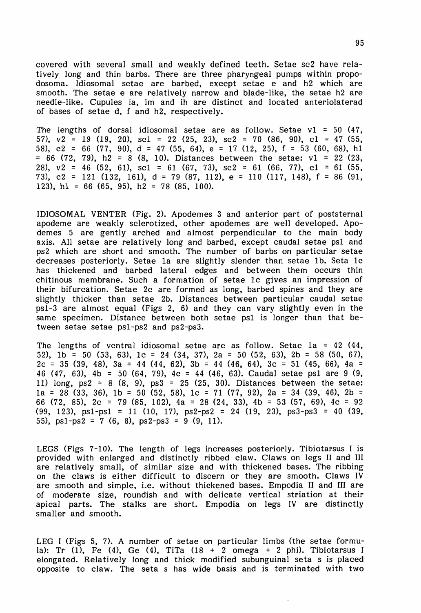covered with several small and weakly defined teeth. Setae sc2 have relatively long and thin barbs. There are three pharyngeal pumps within propodosoma. Idiosomal setae are barbed, except setae e and h2 which are smooth. The setae e are relatively narrow and blade-like, the setae h2 are needle-like. Cupules ia, im and ih are distinct and located anteriolaterad of bases of setae d, f and h2, respectively.

The lengths of dorsal idiosomal setae are as follow. Setae  $v1 = 50$  (47, 57),  $v2 = 19$  (19, 20), sc1 = 22 (25, 23), sc2 = 70 (86, 90), c1 = 47 (55, 58), c2 = 66 (77, 90), d = 47 (55, 64), e = 17 (12, 25), f = 53 (60, 68), hI  $= 66$  (72, 79), h2 = 8 (8, 10). Distances between the setae: v1 = 22 (23, 28),  $v2 = 46$  (52, 61), sc1 = 61 (67, 73), sc2 = 61 (66, 77), c1 = 61 (55, 73), c2 = 121 (132, 161), d = 79 (87, 112), e = 110 (117, 148), f = 86 (91, 123), h1 = 66 (65, 95), h2 = 78 (85, 100).

IDIOSOMAL VENTER (Pig. 2). Apodemes 3 and anterior part of poststernal apodeme are weakly sclerotized, other apodemes are well developed. Apodemes 5 are gently arched and almost perpendicular to the main body axis. All setae are relatively long and barbed, except caudal setae psI and ps2 which are short and smooth. The number of barbs on particular setae decreases posteriorly. Setae la are slightly slender than setae lb. Seta 1c has thickened and barbed lateral edges and between them occurs thin chitinous membrane. Such a formation of setae lc gives an impression of their bifurcation. Setae 2c are formed as long, barbed spines and they are slightly thicker than setae 2b. Distances between particular caudal setae psl-3 are almost equal (Pigs 2, 6) and they can vary slightly even in the same specimen. Distance between both setae psI is longer than that between setae setae ps1-ps2 and ps2-ps3.

The lengths of ventral idiosomal setae are as follow. Setae la = 42 (44, 52), 1b = 50 (53, 63), 1c = 24 (34, 37), 2a = 50 (52, 63), 2b = 58 (50, 67),  $2c = 35$  (39, 48), 3a = 44 (44, 62), 3b = 44 (46, 64), 3c = 51 (45, 66), 4a = <sup>46</sup> (47, 63), 4b = <sup>50</sup> (64, 79), 4c = <sup>44</sup> (46, 63). Caudal setae psI are <sup>9</sup> (9, 11) long,  $ps2 = 8$  (8, 9),  $ps3 = 25$  (25, 30). Distances between the setae:  $1a = 28$  (33, 36),  $1b = 50$  (52, 58),  $1c = 71$  (77, 92),  $2a = 34$  (39, 46),  $2b =$ 66 (72, 85),  $2c = 79$  (85, 102),  $4a = 28$  (24, 33),  $4b = 53$  (57, 69),  $4c = 92$ (99, 123), psI-psI = 11 (10, 17), ps2-ps2 = 24 (19, 23), ps3-ps3 = 40 (39, 55),  $ps1-ps2 = 7(6, 8)$ ,  $ps2-ps3 = 9(9, 11)$ .

LEGS (Figs 7-10). The length of legs increases posteriorly. Tibiotarsus I is provided with enlarged and distinctly ribbed claw. Claws on legs II and III are relatively small, of similar size and with thickened bases. The ribbing on the claws is either difficult to discern or they are smooth. Claws IV are smooth and simple, i.e. without thickened bases. Empodia II and III are of moderate size, roundish and with delicate vertical striation at their apical parts. The stalks are short. Empodia on legs IV are distinctly smaller and smooth.

LEG I (Figs 5, 7). A number of setae on particular limbs (the setae formula): Tr  $(1)$ , Fe  $(4)$ , Ge  $(4)$ , TiTa  $(18 + 2 \text{ omega } + 2 \text{ phi})$ . Tibiotarsus I elongated. Relatively long and thick modified subunguinal seta s is placed opposite to claw. The seta s has wide basis and is terminated with two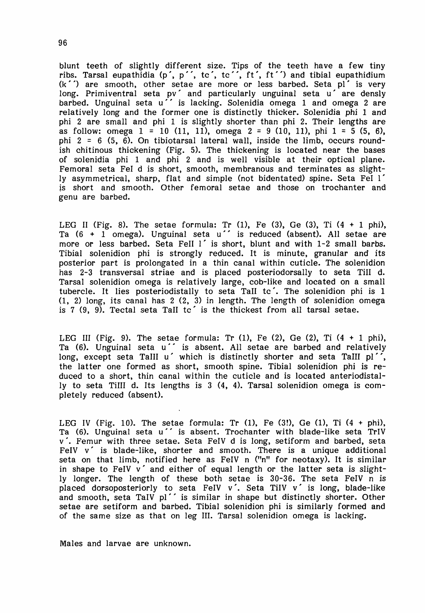blunt teeth of slightly different size. Tips of the teeth have a few tiny ribs. Tarsal eupathidia (p', p'', tc', tc'', ft', ft'') and tibial eupathidium  $(k'')$  are smooth, other setae are more or less barbed. Seta pl' is very long. Primiventral seta pv $\hat{}$  and particularly unguinal seta u $\hat{}$  are densly barbed. Unguinal seta u" is lacking. Solenidia omega 1 and omega 2 are relatively long and the former one is distinctly thicker. Solenidia phi 1 and phi 2 are small and phi 1 is slightly shorter than phi 2. Their lengths are as follow: omega  $1 = 10$  (11, 11), omega  $2 = 9$  (10, 11), phi  $1 = 5$  (5, 6), phi 2 = 6 (5,  $\dot{6}$ ). On tibiotarsal lateral wall, inside the limb, occurs roundish chitinous thickening (Fig. 5). The thickening is located near the bases of solenidia phi 1 and phi 2 and is well visible at their optical plane. Femoral seta Fel d is short, smooth, membranous and terminates as slightly asymmetrical, sharp, flat and simple (not bidentated) spine. Seta Fel I' is short and smooth. Other femoral setae and those on trochanter and genu are barbed.

LEG II (Fig. 8). The setae formula: Tr  $(1)$ , Fe  $(3)$ , Ge  $(3)$ , Ti  $(4 + 1$  phi), Ta  $(6 + 1)$  omega). Unguinal seta u'' is reduced (absent). All setae are more or less barbed. Seta FeII  $1'$  is short, blunt and with  $1-2$  small barbs. Tibial solenidion phi is strongly reduced. It is minute, granular and its posterior part is prolongated in a thin canal within cuticle. The solenidion has 2-3 transversal striae and is placed posteriodorsally to seta Till d. Tarsal solenidion omega is relatively large, cob-like and located on a small tubercle. It lies posteriodistally to seta Tall tc'. The solenidion phi is 1 (1, 2) long, its canal has 2 (2, 3) in length. The length of solenidion omega is  $7$  (9, 9). Tectal seta TaII tc' is the thickest from all tarsal setae.

LEG III (Fig. 9). The setae formula: Tr  $(1)$ , Fe  $(2)$ , Ge  $(2)$ , Ti  $(4 + 1$  phi), Ta (6). Unguinal seta u'' is absent. All setae are barbed and relatively long, except seta TaIII u' which is distinctly shorter and seta TaIII pl'', the latter one formed as short, smooth spine. Tibial solenidion phi is reduced to a short, thin canal within the cuticle and is located anteriodistally to seta Tilll d. Its lengths is 3 (4, 4). Tarsal solenidion omega is completely reduced (absent).

LEG IV (Fig. 10). The setae formula: Tr  $(1)$ , Fe  $(3!)$ , Ge  $(1)$ , Ti  $(4 + \text{phi})$ , Ta (6). Unguinal seta u" is absent. Trochanter with blade-like seta TrIV v '. Femur with three setae. Seta FeIV d is long, setiform and barbed, seta FeIV v' is blade-like, shorter and smooth. There is a unique additional seta on that limb, notified here as FeIV n ("n" for neotaxy). It is similar in shape to FeIV v' and either of equal length or the latter seta is slightly longer. The length of these both setae is 30-36. The seta FeIV n is placed dorsoposteriorly to seta FeIV  $v'$ . Seta TiIV  $v'$  is long, blade-like and smooth, seta TaIV pl'' is similar in shape but distinctly shorter. Other setae are setiform and barbed. Tibial solenidion phi is similarly formed and of the same size as that on leg Ill. Tarsal solenidion omega is lacking.

Males and larvae are unknown.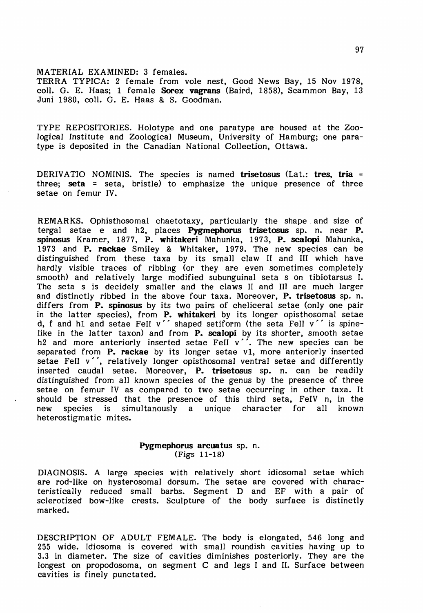MATERIAL EXAMINED: 3 females.

TERRA TYPICA: 2 female from vole nest, Good News Bay, 15 Nov 1978, coll. G. E. Haas; 1 female Sorex vagrans (Baird, 1858), Scammon Bay, 13 Juni 1980, colI. G. E. Haas & S. Goodman.

TYPE REPOSITORIES. Holotype and one paratype are housed at the Zoological Institute and Zoological Museum, University of Hamburg; one paratype is deposited in the Canadian National Collection, Ottawa.

DERIVATIO NOMINIS. The species is named **trisetosus** (Lat.: **tres, tria =** three; seta = seta, bristle) to emphasize the unique presence of three setae on femur IV.

REMARKS. Ophisthosomal chaetotaxy, particularly the shape and size of tergal setae e and h2, places Pygmephorus trisetosus sp. n. near P. spinosus Kramer, 1877, P. whitakeri Mahunka, 1973, P. scalopi Mahunka, 1973 and **P. rackae** Smiley & Whitaker, 1979. The new species can be distinguished from these taxa by its small claw <sup>11</sup> and III which have hardly visible traces of ribbing (or they are even sometimes completely smooth) and relatively large modified subunguinal seta s on tibiotarsus I. The seta s is decidely smaller and the claws II and III are much larger and distinctly ribbed in the above four taxa. Moreover, P. trisetosus sp. n. differs from **P. spinosus** by its two pairs of cheliceral setae (only one pair in the latter species), from **P. whitakeri** by its longer opisthosomal setae d, f and hI and setae Fell v" shaped setiform (the seta Fell v" is spinelike in the latter taxon) and from P. scalopi by its shorter, smooth setae h2 and more anteriorly inserted setae FeII  $v^{\prime}$ . The new species can be separated from P. rackae by its longer setae v1, more anteriorly inserted setae Fell v'', relatively longer opisthosomal ventral setae and differently inserted caudal setae. Moreover, P. trisetosus sp. n. can be readily distinguished from all known species of the genus by the presence of three setae on femur IV as compared to two setae occurring in other taxa. It should be stressed that the presence of this third seta, FeIV n, in the new species is simultanously a unique character for all known new species is simultanously a unique character for all heterostigmatic mites.

# Pygmephorus arcuatus sp. n. (Figs 11-18)

DIAGNOSIS. A large species with relatively short idiosomal setae which are rod-like on hysterosomal dorsum. The setae are covered with characteristically reduced small barbs. Segment D and EF with a pair of sclerotized bow-like crests. Sculpture of the body surface is distinctly marked.

DESCRIPTION OF ADULT FEMALE. The body is elongated, 546 long and 255 wide. Idiosoma is covered with small roundish cavities having up to 3.3 in diameter. The size of cavities diminishes posteriorly. They are the longest on propodosoma, on segment C and legs I and 11. Surface between cavities is finely punctated.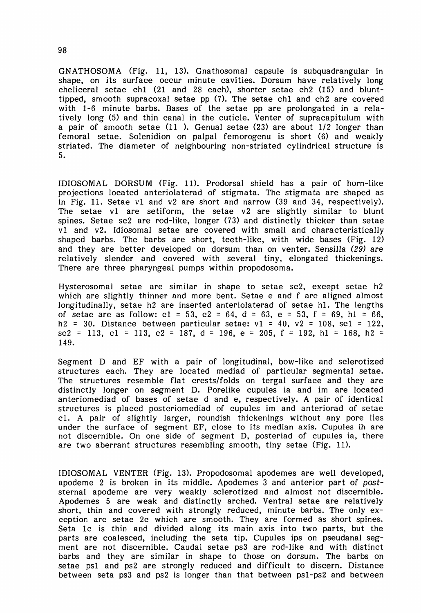GNATHOSOMA (Fig. 11, 13). Gnathosomal capsule is subquadrangular in shape, on its surface occur minute cavities. Dorsum have relatively long cheliceral setae chI (21 and 28 each), shorter setae ch2 (15) and blunttipped, smooth supracoxal setae pp (7). The setae chI and ch2 are covered with 1-6 minute barbs. Bases of the setae pp are prolongated in a relatively long (5) and thin canal in the cuticle. Venter of supracapitulum with a pair of smooth setae (11 ). Genual setae (23) are about 1/2 longer than femoral setae. Solenidion on palpal femorogenu is short (6) and weakly striated. The diameter of neighbouring non-striated cylindrical structure is 5.

IDIOSOMAL DORSUM (Fig. 11). Prodorsal shield has a pair of horn-like projections located anteriolaterad of stigmata. The stigmata are shaped as in Fig. 11. Setae *vI* and v2 are short and narrow (39 and 34, respectively). The setae vI are setiform, the setae v2 are slightly similar to blunt spines. Setae sc2 are rod-like, longer (73) and distinctly thicker than setae vI and v2. Idiosomal setae are covered with small and characteristically shaped barbs. The barbs are short, teeth-like, with wide bases (Fig. 12) and they are better developed on dorsum than on venter. *Sensilla* (29) are relatively slender and covered with several tiny, elongated thickenings. There are three pharyngeal pumps within propodosoma.

Hysterosomal setae are similar in shape to setae sc2, except setae h2 which are slightly thinner and more bent. Setae e and f are aligned almost longitudinally, setae h2 are inserted anteriolaterad of setae hI. The lengths of setae are as follow:  $c1 = 53$ ,  $c2 = 64$ ,  $d = 63$ ,  $e = 53$ ,  $f = 69$ ,  $h1 = 66$ , h2 = 30. Distance between particular setae:  $v1 = 40$ ,  $v2 = 108$ , sc1 = 122, sc2 = 113, c1 = 113, c2 = 187, d = 196, e = 205, f = 192, h1 = 168, h2 = 149.

Segment D and EF with a pair of longitudinal, bow-like and sclerotized structures each. They are located mediad of particular segmental setae. The structures resemble flat crests/folds on tergal surface and they are distinctly longer on segment D. Porelike cupules ia and im are located anteriomediad of bases of setae d and e, respectively. A pair of identical structures is placed posteriomediad of cupules im and anteriorad of setae cl. A pair of slightly larger, roundish thickenings without any pore lies under the surface of segment EF, close to its median axis. Cupules ih are not discernible. On one side of segment D, posteriad of cupules ia, there are two aberrant structures resembling smooth, tiny setae (Fig. 11).

IDIOSOMAL VENTER (Fig. 13). Propodosomal apodemes are well developed, apodeme 2 is broken in its middle. Apodemes 3 and anterior part of *post*sternal apodeme are very weakly sclerotized and almost not discernible. Apodemes 5 are weak and distinctly arched. Ventral setae are relatively short, thin and covered with strongly reduced, minute barbs. The only exception are setae 2c which are smooth. They are formed as short spines. Seta 1c is thin and divided along its main axis into two parts, but the parts are coalesced, including the seta tip. Cupules ips on pseudanal segment are not discernible. Caudal setae ps3 are rod-like and with distinct barbs and they are similar in shape to those on dorsum. The barbs on setae psI and ps2 are strongly reduced and difficult to discern. Distance between seta ps3 and ps2 is longer than that between ps1-ps2 and between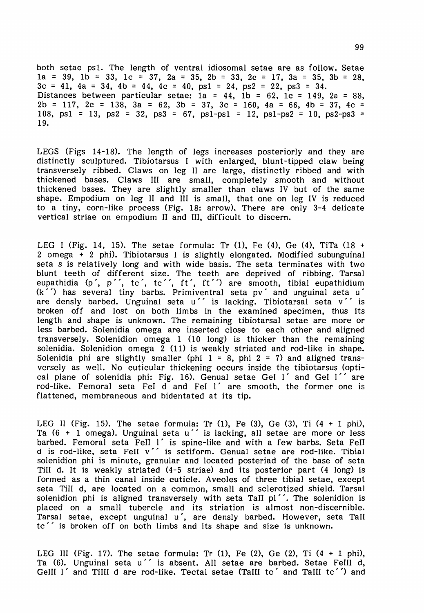both setae psI. The length of ventral idiosomal setae are as follow. Setae 1a = 39, 1b = 33, 1c = 37, 2a = 35, 2b = 33, 2c = 17, 3a = 35, 3b = 28,  $3c = 41$ ,  $4a = 34$ ,  $4b = 44$ ,  $4c = 40$ ,  $ps1 = 24$ ,  $ps2 = 22$ ,  $ps3 = 34$ . Distances between particular setae: la = 44, lb = 62, lc = 149, 2a = 88,  $2b = 117$ ,  $2c = 138$ ,  $3a = 62$ ,  $3b = 37$ ,  $3c = 160$ ,  $4a = 66$ ,  $4b = 37$ ,  $4c =$ 108, ps1 = 13, ps2 = 32, ps3 = 67, ps1-ps1 = 12, ps1-ps2 = 10, ps2-ps3 = 19.

LEGS (Figs 14-18). The length of legs increases posteriorly and they are distinctly sculptured. Tibiotarsus I with enlarged, blunt-tipped claw being transversely ribbed. Claws on leg <sup>11</sup> are large, distinctly ribbed and with thickened bases. Claws III are small, completely smooth and without thickened bases. They are slightly smaller than claws IV but of the same shape. Empodium on leg II and III is small, that one on leg IV is reduced to a tiny, corn-like process (Fig. 18: arrow). There are only 3-4 delicate vertical striae on empodium II and Ill, difficult to discern.

LEG I (Fig. 14, 15). The setae formula: Tr (1), Fe (4), Ge (4), TiTa (18 + 2 omega  $+$  2 phi). Tibiotarsus I is slightly elongated. Modified subunguinal seta s is relatively long and with wide basis. The seta terminates with two blunt teeth of different size. The teeth are deprived of ribbing. Tarsal<br>eupathidia (p´, p´´, tc´, tc´´, ft´, ft´´) are smooth, tibial eupathidium  $(k^{'})$  has several tiny barbs. Primiventral seta pv' and unguinal seta u' are densly barbed. Unguinal seta u'' is lacking. Tibiotarsal seta v'' is broken off and lost on both limbs in the examined specimen, thus its length and shape is unknown. The remaining tibiotarsal setae are more or less barbed. Solenidia omega are inserted close to each other and aligned transversely. Solenidion omega 1 (10 long) is thicker than the remaining solenidia. Solenidion omega  $2$  (11) is weakly striated and rod-like in shape. Solenidia phi are slightly smaller (phi  $1 = 8$ , phi  $2 = 7$ ) and aligned transversely as well. No cuticular thickening occurs inside the tibiotarsus (optical plane of solenidia phi: Fig. 16). Genual setae Gel 1' and Gel 1'' are rod-like. Femoral seta FeI d and Fel I' are smooth, the former one is flattened, membraneous and bidentated at its tip.

LEG II (Fig. 15). The setae formula: Tr (1), Fe (3), Ge (3), Ti  $(4 + 1$  phi), Ta (6 + 1 omega). Unguinal seta u" is lacking, all setae are more or less barbed. Femoral seta Fell I' is spine-like and with a few barbs. Seta Fell d is rod-like, seta Fell v'' is setiform. Genual setae are rod-like. Tibial solenidion phi is minute, granular and located posteriad of the base of seta Till d. It is weakly striated (4-5 striae) and its posterior part (4 long) is formed as a thin canal inside cuticle. Aveoles of three tibial setae, except seta Till d, are located on a common, small and sclerotized shield. Tarsal solenidion phi is aligned transversely with seta TaII  $pl'$ . The solenidion is placed on a small tubercle and its striation is almost non-discernible. Tarsal setae, except unguinal u', are densly barbed. However, seta Tall tc" is broken off on both limbs and its shape and size is unknown.

LEG III (Fig. 17). The setae formula: Tr  $(1)$ , Fe  $(2)$ , Ge  $(2)$ , Ti  $(4 + 1)$  phi), Ta (6). Unguinal seta u' is absent. All setae are barbed. Setae Felli d, GeIII I' and TiIII d are rod-like. Tectal setae (TaIII tc' and TaIII tc'') and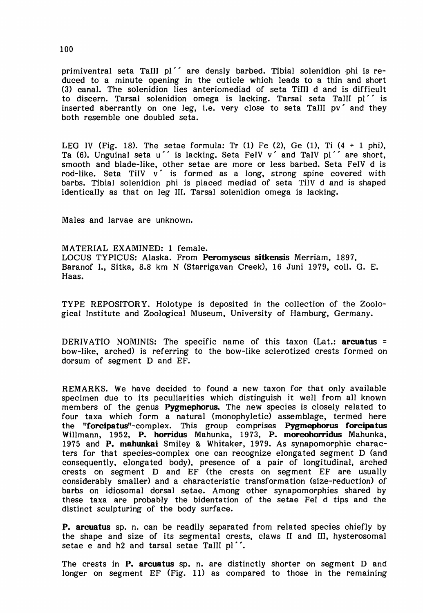primiventral seta TaIII pI" are densly barbed. Tibial solenidion ·phi is reduced to a minute opening in the cuticle which leads to a thin and short (3) canal. The solenidion lies anteriomediad of seta TiIII d and is difficult to discern. Tarsal solenidion omega is lacking. Tarsal seta TaIII pI" is inserted aberrantly on one leg, i.e. very close to seta TaIII pv' and they both resemble one doubled seta.

LEG IV (Fig. 18). The setae formula: Tr  $(1)$  Fe  $(2)$ , Ge  $(1)$ , Ti  $(4 + 1$  phi), Ta (6). Unguinal seta u' is lacking. Seta FeIV v' and TaIV pl'' are short, smooth and blade-like, other setae are more or less barbed. Seta FelV d is rod-like. Seta TiIV  $v'$  is formed as a long, strong spine covered with barbs. Tibial solenidion phi is placed mediad of seta TiIV d and is shaped identically as that on leg Ill. Tarsal solenidion omega is lacking.

Males and larvae are unknown.

MATERIAL EXAMINED: 1 female. LOCUS TYPICUS: Alaska. From Peromyscus sitkensis Merriam, 1897, Baranof I., Sitka, 8.8 km N (Starrigavan Creek), 16 Juni 1979, colI. G. E. Haas.

TYPE REPOSITOR Y. Holotype is deposited in the collection of the Zoological Institute and Zoological Museum, University of Hamburg, Germany.

DERIVATIO NOMINIS: The specific name of this taxon (Lat.: arcuatus = bow-like, arched) is referring to the bow-like sclerotized crests formed on dorsum of segment D and EF.

REMARKS. We have decided to found a new taxon for that only available specimen due to its peculiarities which distinguish it well from all known members of the genus Pygmephorus. The new species is closely related to four taxa which form a natural (monophyletic) assemblage, termed here the "forcipatus"-complex. This group comprises Pygmephorus forcipatus Willmann, 1952, P. horridus Mahunka, 1973, P. moreohorridus Mahunka, 1975 and P. mahunkai Smiley & Whitaker, 1979. As synapomorphic characters for that species-complex one can recognize elongated segment D (and consequently, elongated body), presence of a pair of longitudinal, arched crests on segment D and EF (the crests on segment EF are usually considerably smaller) and a characteristic transformation (size-reduction) of barbs on idiosomal dorsal setae. Among other synapomorphies shared by these taxa are probably the bidentation of the setae FeI d tips and the distinct sculpturing of the body surface.

P. arcuatus sp. n. can be readily separated from related species chiefly by the shape and size of its segmental crests, claws <sup>11</sup> and Ill, hysterosomal setae e and h2 and tarsal setae TaIII pl''.

The crests in **P. arcuatus** sp. n. are distinctly shorter on segment D and longer on segment EF (Fig. 11) as compared to those in the remaining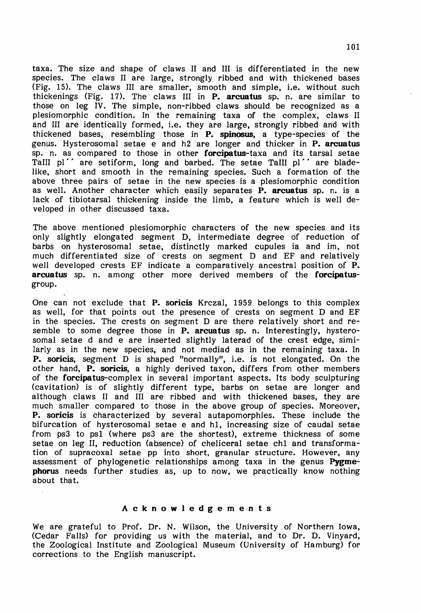taxa. The size and shape of claws II and III is differentiated in the new species. The claws <sup>11</sup> are large, strongly ribbed and with thickened bases (Fig. 15). The claws III are smaller, smooth and simple, i.e. without such thickenings (Fig. 17). The claws III in  $P$ . arcuatus sp. n. are similar to those on leg IV. The simple, non-ribbed claws should be recognized as a plesiomorphic condition. In the remaining taxa of the complex, claws II and III are identically formed, i.e. they are large, strongly ribbed and with thickened bases, resembling those in **P. spinosus**, a type-species of the genus. Hysterosomal setae e and h2 are longer and thicker in **P. arcuatus** sp. n. as compared to those in other **forcipatus**-taxa and its tarsal setae TaIII pI" are setiform, long and barbed. The setae TaIlI pI" are bladelike, short and smooth in the remaining species. Such a formation of the above three pairs of setae in the new species is a plesiomorphic condition as well. Another character which easily separates  $\overline{P}$ . arcuatus sp. n. is a lack of tibiotarsal thickening inside the limb, a feature which is well developed in other discussed taxa.

The above mentioned plesiomorphic characters of the new species and its only slightly elongated segment D, intermediate degree of reduction of barbs on hysterosomal setae, distinctly marked cupules ia and im, not much differentiated size of crests on segment D and EF and relatively well developed crests EF indicate a comparatively ancestral position of P. arcuatus sp. n. among other more derived members of the forcipatusgroup.

One can not exclude that P. soricis Krczal, 1959 belongs to this complex as well, for that points out the presence of crests on segment D and EF in the species. The crests on segment D are there relatively short and resemble to some degree those in P. arcuatus sp. n. Interestingly, hysterosomal setae d and e are inserted slightly laterad of the crest edge, similarly as in the new species, and not mediad as in the remaining taxa. In P. soricis, segment D is shaped "normally", i.e. is not elongated. On the other hand, P. soricis, a highly derived taxon, differs from other members of the Corcipatus-complex in several important aspects. Its body sculpturing (cavitation) is of slightly different type, barbs on setae are longer and although claws <sup>11</sup> and III are ribbed and with thickened bases, they are much smaller compared to those in the above group of species. Moreover, P. soricis is characterized by several autapomorphies. These include the bifurcation of hysterosomal setae e and hI, increasing size of caudal setae from ps3 to psI (where ps3 are the shortest), extreme thickness of some setae on leg 11, reduction (absence) of cheliceral setae chI and transformation of supracoxal setae pp into short, granular structure. However, any assessment of phylogenetic relationships among taxa in the genus Pygmephorus needs further studies as, up to now, we practically know nothing about that.

#### Acknowledgements

We are grateful to Prof. Dr. N. Wilson, the University of Northern Iowa, (Cedar Falls) for providing us with the material, and to Dr. D. Vinyard, the Zoological Institute and Zoological Museum (University of Hamburg) for corrections to the English manuscript.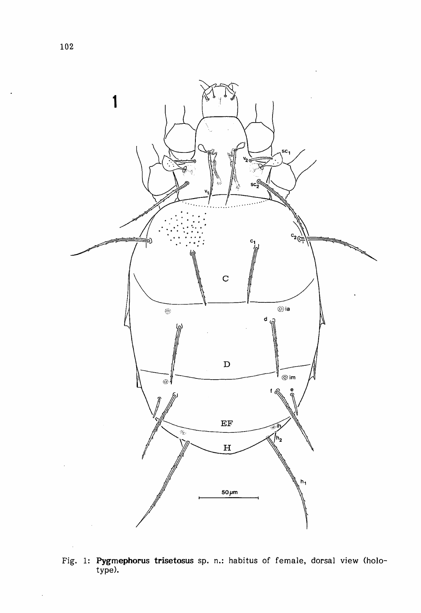

Fig. 1: **Pygmephorus trisetosus** sp. n.: habitus of female, dorsal view (holotype).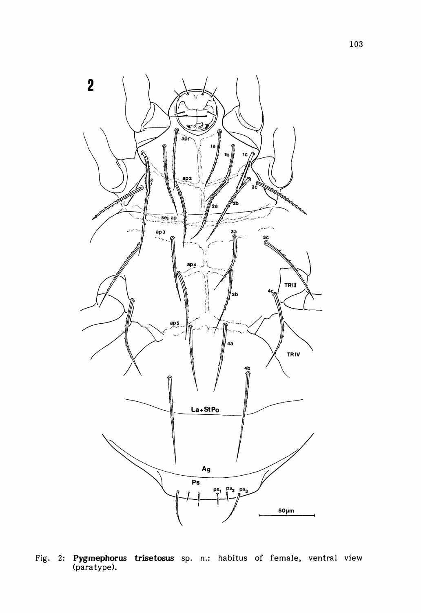

Fig. 2: **Pygmephorus trisetosus** sp. n.: habitus of female, ventral view (para type).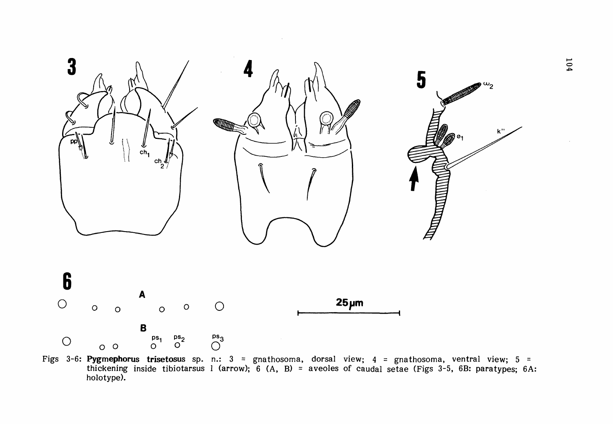

Figs 3-6: Pygmephorus trisetosus sp. n.: 3 = gnathosoma, dorsal view; 4 = gnathosoma, ventral view; 5 = thickening inside tibiotarsus I (arrow); 6 (A, B) = aveoles of caudal setae (Figs 3-5, 6B: paratypes; 6A: **holotype).**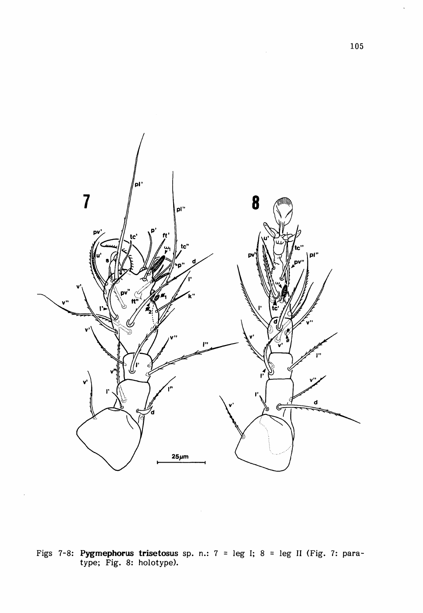

Figs 7-8: **Pygmephorus trisetosus** sp. n.:  $7 = \text{leg } I; 8 = \text{leg } II$  (Fig. 7: paratype; Fig. 8: holotype).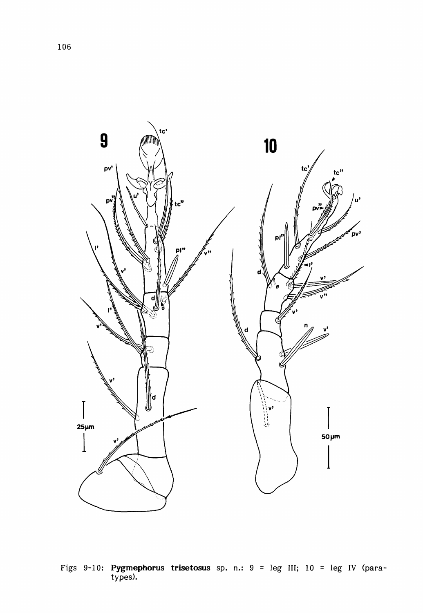

Figs 9-10: Pygmephorus trisetosus sp. n.:  $9 = \text{leg III}$ ;  $10 = \text{leg IV (para-types)}$ .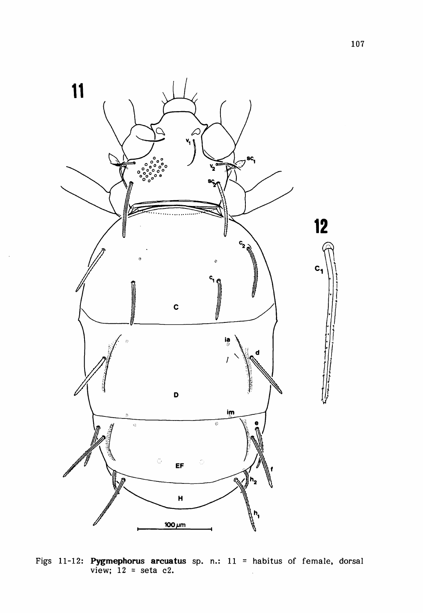

Figs 11-12: **Pygmephorus arcuatus** sp. n.: 11 = habitus of female, dorsal view; 12 = seta c2.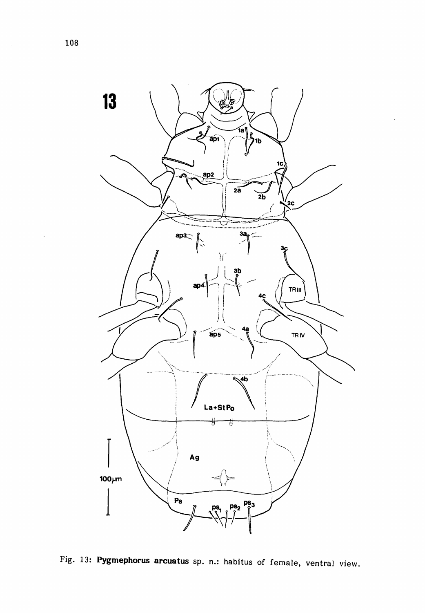

Fig. 13: Pygmephorus arcuatus sp. n.: habitus of female, ventral view.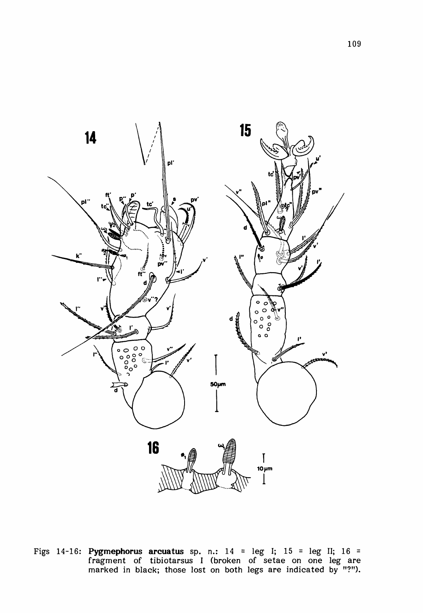

Figs 14-16: **Pygmephorus arcuatus** sp. n.: <sup>14</sup> <sup>=</sup> leg I; <sup>15</sup> <sup>=</sup> leg II; <sup>16</sup> <sup>=</sup> fragment of tibiotarsus <sup>I</sup> (broken of setae on one leg are marked in black; those lost on both legs are indicated by "?").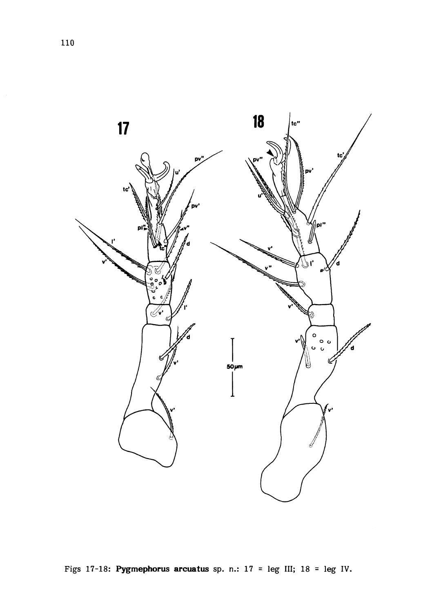

Figs 17-18: Pygmephorus arcuatus sp. n.: 17 = leg III; 18 = leg IV.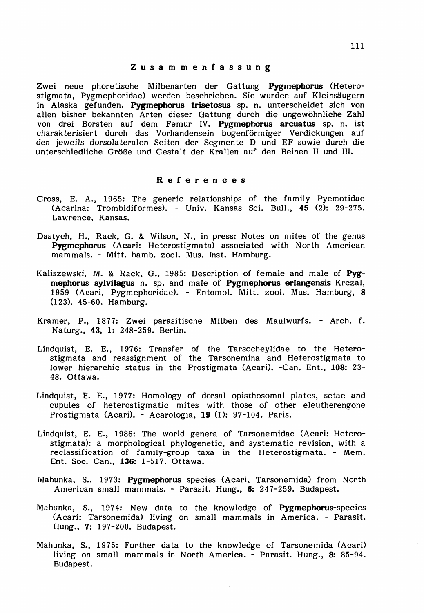#### Zusammenfassung

Zwei neue phoretische Milbenarten der Gattung Pygmephorus (Heterostigmata, Pygmephoridae) werden beschrieben. Sie wurden auf Kleinsaugern in Alaska gefunden. Pygmephorus trisetosus sp. n. unterscheidet sich von alIen bisher bekannten Arten dieser Gattung durch die ungewohnliche Zahl von drei Borsten auf dem Femur IV. Pygmephorus arcuatus sp. n. ist charakterisiert durch das Vorhandensein bogenformiger Verdickungen auf den jeweils dorsolateralen Seiten der Segmente D und EF sowie durch die unterschiedliche Größe und Gestalt der Krallen auf den Beinen II und III.

#### References

- Cross, E. A., 1965: The generic relationships of the family Pyemotidae (Acarina: Trombidiformes). - Univ. Kansas Sci. Bull., 45 (2): 29-275. Lawrence, Kansas.
- Dastych, H., Rack, G. & Wilson, N., in press: Notes on mites of the genus Pygmephorus (Acari: Heterostigmata) associated with North American mammals. - Mitt. hamb. zool. Mus. Inst. Hamburg.
- Kaliszewski, M. & Rack, G., 1985: Description of female and male of Pygmephorus sylvilagus n. sp. and male of Pygmephorus erlangensis Krczal, 1959 (Acari, Pygmephoridae). - Entomol. Mitt. zool. Mus. Hamburg, 8 (123). 45-60. Hamburg.
- Kramer, P., 1877: Zwei parasitische Milben des Maulwurfs. Arch. f. Naturg., 43, 1: 248-259. Berlin.
- Lindquist, E. E., 1976: Transfer of the Tarsocheylidae to the Heterostigmata and reassignment of the Tarsonemina and Heterostigmata to lower hierarchic status in the Prostigmata (Acari). -Can. Ent., 108: 23-48. Ottawa.
- Lindquist, E. E., 1977: Homology of dorsal opisthosomal plates, setae and cupules of heterostigmatic mites with those of other eleutherengone Prostigmata (Acari). - Acarologia, 19 (1): 97-104. Paris.
- Lindquist, E. E., 1986: The world genera of Tarsonemidae (Acari: Heterostigmata): a morphological phylogenetic, and systematic revision, with a reclassification of family-group taxa in the Heterostigmata. - Mem. Ent. Soc. Can., 136: 1-517. Ottawa.
- Mahunka, S., 1973: Pygmephorus species (Acari, Tarsonemida) from North American small mammals. - Parasit. Hung., 6: 247-259. Budapest.
- Mahunka, S., 1974: New data to the knowledge of Pygmephorus-species (Acari: Tarsonemida) living on small mammals in America. - Parasit. Hung., 7: 197-200. Budapest.
- Mahunka, S., 1975: Further data to the knowledge of Tarsonemida (Acari) living on small mammals in North America. - Parasit. Hung., 8: 85-94. BUdapest.